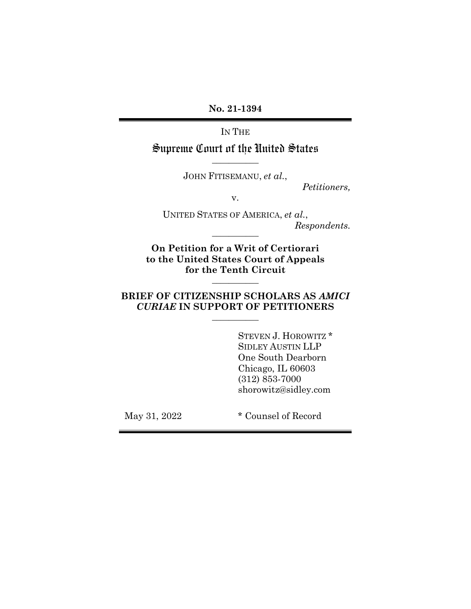**No. 21-1394**

IN THE

Supreme Court of the United States **\_\_\_\_\_\_\_\_\_\_\_**

JOHN FITISEMANU, *et al.*,

*Petitioners,* 

v.

UNITED STATES OF AMERICA, *et al.*,  $Respondents.$ 

**On Petition for a Writ of Certiorari to the United States Court of Appeals for the Tenth Circuit**

### **BRIEF OF CITIZENSHIP SCHOLARS AS** *AMICI CURIAE* **IN SUPPORT OF PETITIONERS \_\_\_\_\_\_\_\_\_\_\_**

**\_\_\_\_\_\_\_\_\_\_\_**

STEVEN J. HOROWITZ \* SIDLEY AUSTIN LLP One South Dearborn Chicago, IL 60603 (312) 853-7000 shorowitz@sidley.com

May 31, 2022  $*$  Counsel of Record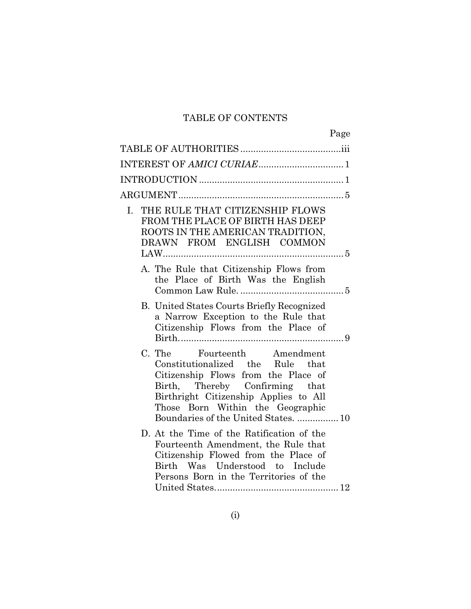## TABLE OF CONTENTS

| Page                                                                                                                                                                                                                                                          |  |
|---------------------------------------------------------------------------------------------------------------------------------------------------------------------------------------------------------------------------------------------------------------|--|
|                                                                                                                                                                                                                                                               |  |
|                                                                                                                                                                                                                                                               |  |
|                                                                                                                                                                                                                                                               |  |
|                                                                                                                                                                                                                                                               |  |
| THE RULE THAT CITIZENSHIP FLOWS<br>$\mathbf{I}$ .<br>FROM THE PLACE OF BIRTH HAS DEEP<br>ROOTS IN THE AMERICAN TRADITION,<br>DRAWN FROM ENGLISH COMMON                                                                                                        |  |
| A. The Rule that Citizenship Flows from<br>the Place of Birth Was the English                                                                                                                                                                                 |  |
| <b>B.</b> United States Courts Briefly Recognized<br>a Narrow Exception to the Rule that<br>Citizenship Flows from the Place of                                                                                                                               |  |
| C. The Fourteenth Amendment<br>Constitutionalized the Rule that<br>Citizenship Flows from the Place of<br>Birth, Thereby Confirming that<br>Birthright Citizenship Applies to All<br>Those Born Within the Geographic<br>Boundaries of the United States.  10 |  |
| D. At the Time of the Ratification of the<br>Fourteenth Amendment, the Rule that<br>Citizenship Flowed from the Place of<br>Birth Was Understood to Include<br>Persons Born in the Territories of the                                                         |  |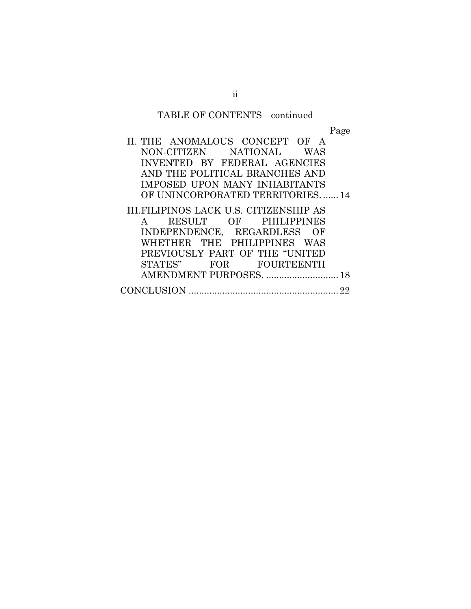## TABLE OF CONTENTS—continued

Page

| II. THE ANOMALOUS CONCEPT OF A         |
|----------------------------------------|
| NON-CITIZEN NATIONAL WAS               |
| INVENTED BY FEDERAL AGENCIES           |
| AND THE POLITICAL BRANCHES AND         |
| IMPOSED UPON MANY INHABITANTS          |
| OF UNINCORPORATED TERRITORIES14        |
| III.FILIPINOS LACK U.S. CITIZENSHIP AS |
| RESULT OF PHILIPPINES<br>$\mathbf{A}$  |
| INDEPENDENCE, REGARDLESS OF            |
| WHETHER THE PHILIPPINES WAS            |
| PREVIOUSLY PART OF THE "UNITED         |
| STATES" FOR FOURTEENTH                 |
| AMENDMENT PURPOSES.  18                |
|                                        |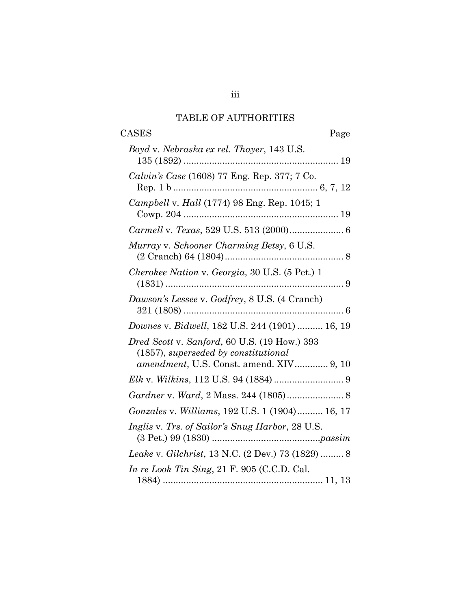## TABLE OF AUTHORITIES

<span id="page-3-0"></span>

| <b>CASES</b><br>Page                                                                    |
|-----------------------------------------------------------------------------------------|
| Boyd v. Nebraska ex rel. Thayer, 143 U.S.                                               |
| Calvin's Case (1608) 77 Eng. Rep. 377; 7 Co.                                            |
| Campbell v. Hall (1774) 98 Eng. Rep. 1045; 1                                            |
|                                                                                         |
| Murray v. Schooner Charming Betsy, 6 U.S.                                               |
| Cherokee Nation v. Georgia, 30 U.S. (5 Pet.) 1                                          |
| Dawson's Lessee v. Godfrey, 8 U.S. (4 Cranch)                                           |
| Downes v. Bidwell, 182 U.S. 244 (1901)  16, 19                                          |
| Dred Scott v. Sanford, 60 U.S. (19 How.) 393<br>$(1857)$ , superseded by constitutional |
| amendment, U.S. Const. amend. XIV 9, 10                                                 |
|                                                                                         |
|                                                                                         |
| Gonzales v. Williams, 192 U.S. 1 (1904) 16, 17                                          |
| Inglis v. Trs. of Sailor's Snug Harbor, 28 U.S.                                         |
| Leake v. Gilchrist, 13 N.C. (2 Dev.) 73 (1829)  8                                       |
| In re Look Tin Sing, 21 F. 905 (C.C.D. Cal.                                             |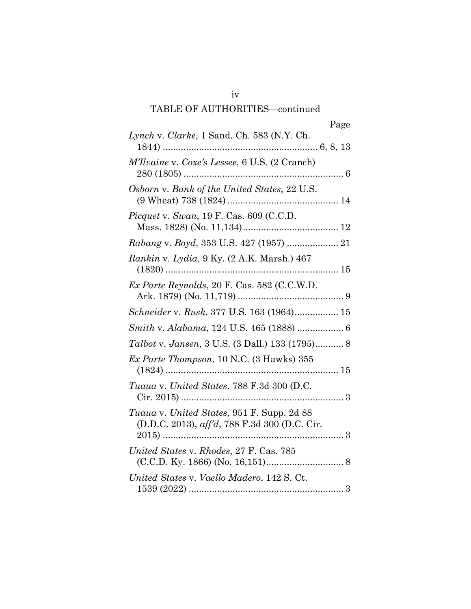|                                                                                             | Page |
|---------------------------------------------------------------------------------------------|------|
| Lynch v. Clarke, 1 Sand. Ch. 583 (N.Y. Ch.                                                  |      |
| M'Ilvaine v. Coxe's Lessee, 6 U.S. (2 Cranch)                                               |      |
| Osborn v. Bank of the United States, 22 U.S.                                                |      |
| Picquet v. Swan, 19 F. Cas. 609 (C.C.D.                                                     |      |
| Rabang v. Boyd, 353 U.S. 427 (1957)  21                                                     |      |
| Rankin v. Lydia, 9 Ky. (2 A.K. Marsh.) 467                                                  |      |
| Ex Parte Reynolds, 20 F. Cas. 582 (C.C.W.D.                                                 |      |
| Schneider v. Rusk, 377 U.S. 163 (1964) 15                                                   |      |
| Smith v. Alabama, 124 U.S. 465 (1888)  6                                                    |      |
| Talbot v. Jansen, 3 U.S. (3 Dall.) 133 (1795) 8                                             |      |
| Ex Parte Thompson, 10 N.C. (3 Hawks) 355                                                    |      |
| Tuaua v. United States, 788 F.3d 300 (D.C.                                                  |      |
| Tuaua v. United States, 951 F. Supp. 2d 88<br>(D.D.C. 2013), aff'd, 788 F.3d 300 (D.C. Cir. |      |
| United States v. Rhodes, 27 F. Cas. 785                                                     |      |
| United States v. Vaello Madero, 142 S. Ct.                                                  |      |
|                                                                                             |      |

iv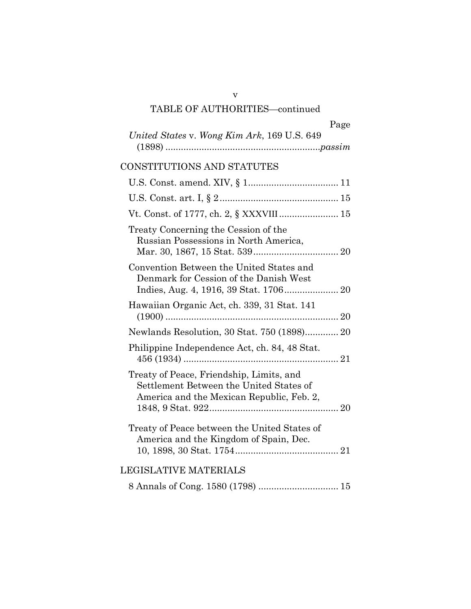| Page |
|------|
|------|

| United States v. Wong Kim Ark, 169 U.S. 649 |  |
|---------------------------------------------|--|
|                                             |  |

## CONSTITUTIONS AND STATUTES

| Vt. Const. of 1777, ch. 2, § XXXVIII 15                                                                                          |  |
|----------------------------------------------------------------------------------------------------------------------------------|--|
| Treaty Concerning the Cession of the<br>Russian Possessions in North America,                                                    |  |
| Convention Between the United States and<br>Denmark for Cession of the Danish West                                               |  |
| Hawaiian Organic Act, ch. 339, 31 Stat. 141                                                                                      |  |
| Newlands Resolution, 30 Stat. 750 (1898) 20                                                                                      |  |
| Philippine Independence Act, ch. 84, 48 Stat.                                                                                    |  |
| Treaty of Peace, Friendship, Limits, and<br>Settlement Between the United States of<br>America and the Mexican Republic, Feb. 2, |  |
| Treaty of Peace between the United States of<br>America and the Kingdom of Spain, Dec.                                           |  |
| LEGISLATIVE MATERIALS                                                                                                            |  |
|                                                                                                                                  |  |

v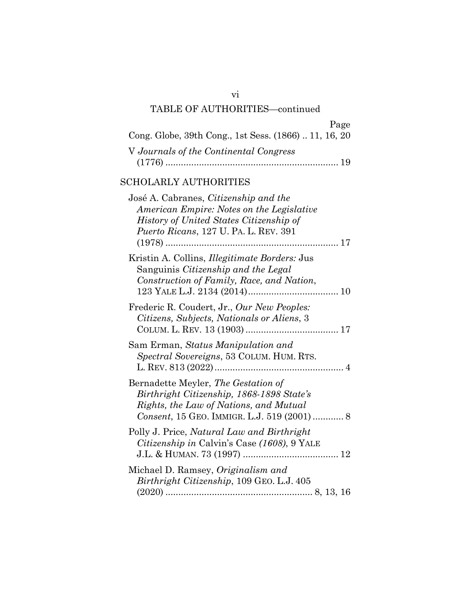| Page<br>Cong. Globe, 39th Cong., 1st Sess. (1866)  11, 16, 20                                                                                                                        |
|--------------------------------------------------------------------------------------------------------------------------------------------------------------------------------------|
| V Journals of the Continental Congress<br>$(1776)$                                                                                                                                   |
| <b>SCHOLARLY AUTHORITIES</b>                                                                                                                                                         |
| José A. Cabranes, <i>Citizenship and the</i><br>American Empire: Notes on the Legislative<br>History of United States Citizenship of<br><i>Puerto Ricans, 127 U. PA. L. REV. 391</i> |
| Kristin A. Collins, <i>Illegitimate Borders:</i> Jus<br>Sanguinis Citizenship and the Legal<br>Construction of Family, Race, and Nation,                                             |
| Frederic R. Coudert, Jr., Our New Peoples:<br>Citizens, Subjects, Nationals or Aliens, 3                                                                                             |
| Sam Erman, Status Manipulation and<br>Spectral Sovereigns, 53 COLUM. HUM. RTS.                                                                                                       |
| Bernadette Meyler, The Gestation of<br>Birthright Citizenship, 1868-1898 State's<br>Rights, the Law of Nations, and Mutual<br>Consent, 15 GEO. IMMIGR. L.J. 519 (2001)  8            |
| Polly J. Price, Natural Law and Birthright<br>Citizenship in Calvin's Case (1608), 9 YALE                                                                                            |
| Michael D. Ramsey, Originalism and<br>Birthright Citizenship, 109 GEO. L.J. 405                                                                                                      |

(2020) ......................................................... [8,](#page-15-7) 13, 16

vi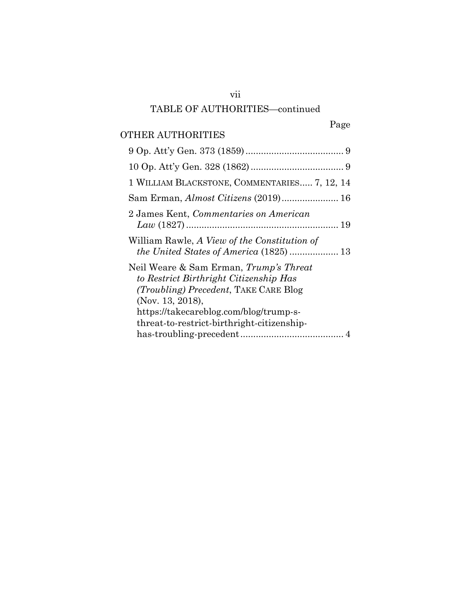## Page

## OTHER AUTHORITIES

| 1 WILLIAM BLACKSTONE, COMMENTARIES 7, 12, 14                                                                                                         |
|------------------------------------------------------------------------------------------------------------------------------------------------------|
| Sam Erman, Almost Citizens (2019) 16                                                                                                                 |
| 2 James Kent, Commentaries on American                                                                                                               |
| William Rawle, A View of the Constitution of                                                                                                         |
| Neil Weare & Sam Erman, Trump's Threat<br>to Restrict Birthright Citizenship Has<br><i>(Troubling) Precedent, TAKE CARE Blog</i><br>(Nov. 13, 2018), |
| https://takecareblog.com/blog/trump-s-<br>threat-to-restrict-birthright-citizenship-                                                                 |
|                                                                                                                                                      |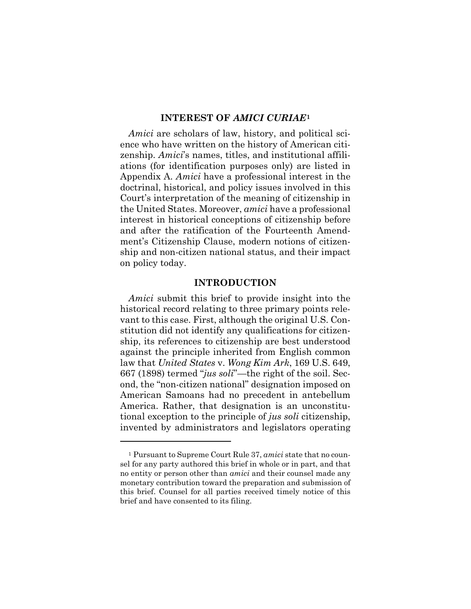#### **INTEREST OF** *AMICI CURIAE***[1](#page-8-3)**

<span id="page-8-0"></span>*Amici* are scholars of law, history, and political science who have written on the history of American citizenship. *Amici*'s names, titles, and institutional affiliations (for identification purposes only) are listed in Appendix A. *Amici* have a professional interest in the doctrinal, historical, and policy issues involved in this Court's interpretation of the meaning of citizenship in the United States. Moreover, *amici* have a professional interest in historical conceptions of citizenship before and after the ratification of the Fourteenth Amendment's Citizenship Clause, modern notions of citizenship and non-citizen national status, and their impact on policy today.

#### **INTRODUCTION**

<span id="page-8-2"></span><span id="page-8-1"></span>*Amici* submit this brief to provide insight into the historical record relating to three primary points relevant to this case. First, although the original U.S. Constitution did not identify any qualifications for citizenship, its references to citizenship are best understood against the principle inherited from English common law that *United States* v. *Wong Kim Ark*, 169 U.S. 649, 667 (1898) termed "*jus soli*"—the right of the soil. Second, the "non-citizen national" designation imposed on American Samoans had no precedent in antebellum America. Rather, that designation is an unconstitutional exception to the principle of *jus soli* citizenship, invented by administrators and legislators operating

<span id="page-8-3"></span><sup>1</sup> Pursuant to Supreme Court Rule 37, *amici* state that no counsel for any party authored this brief in whole or in part, and that no entity or person other than *amici* and their counsel made any monetary contribution toward the preparation and submission of this brief. Counsel for all parties received timely notice of this brief and have consented to its filing.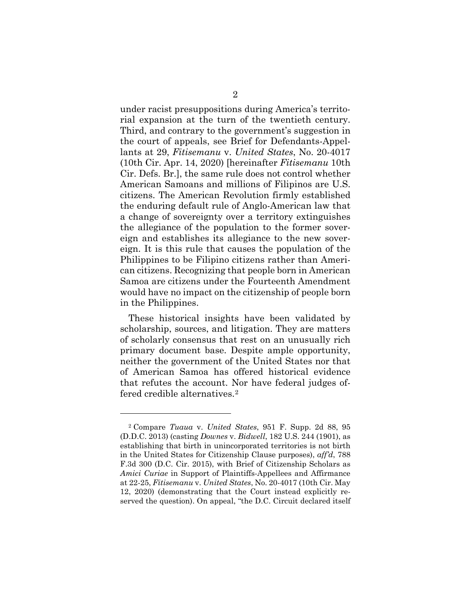under racist presuppositions during America's territorial expansion at the turn of the twentieth century. Third, and contrary to the government's suggestion in the court of appeals, see Brief for Defendants-Appellants at 29, *Fitisemanu* v. *United States*, No. 20-4017 (10th Cir. Apr. 14, 2020) [hereinafter *Fitisemanu* 10th Cir. Defs. Br.], the same rule does not control whether American Samoans and millions of Filipinos are U.S. citizens. The American Revolution firmly established the enduring default rule of Anglo-American law that a change of sovereignty over a territory extinguishes the allegiance of the population to the former sovereign and establishes its allegiance to the new sovereign. It is this rule that causes the population of the Philippines to be Filipino citizens rather than American citizens. Recognizing that people born in American Samoa are citizens under the Fourteenth Amendment would have no impact on the citizenship of people born in the Philippines.

These historical insights have been validated by scholarship, sources, and litigation. They are matters of scholarly consensus that rest on an unusually rich primary document base. Despite ample opportunity, neither the government of the United States nor that of American Samoa has offered historical evidence that refutes the account. Nor have federal judges offered credible alternatives.[2](#page-9-1)

<span id="page-9-1"></span><span id="page-9-0"></span><sup>2</sup> Compare *Tuaua* v. *United States*, 951 F. Supp. 2d 88, 95 (D.D.C. 2013) (casting *Downes* v. *Bidwell*, 182 U.S. 244 (1901), as establishing that birth in unincorporated territories is not birth in the United States for Citizenship Clause purposes), *aff'd*, 788 F.3d 300 (D.C. Cir. 2015), with Brief of Citizenship Scholars as *Amici Curiae* in Support of Plaintiffs-Appellees and Affirmance at 22-25, *Fitisemanu* v. *United States*, No. 20-4017 (10th Cir. May 12, 2020) (demonstrating that the Court instead explicitly reserved the question). On appeal, "the D.C. Circuit declared itself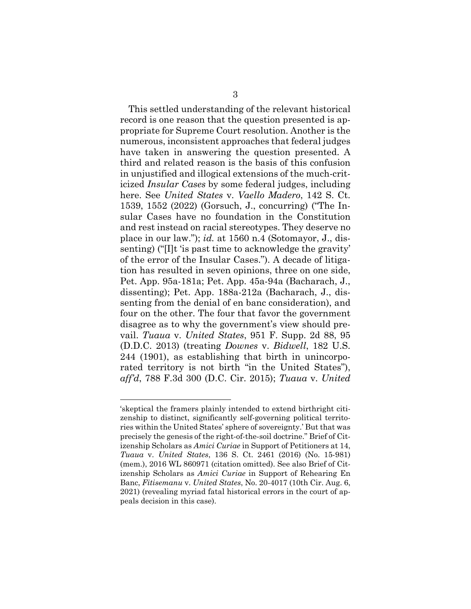<span id="page-10-2"></span>This settled understanding of the relevant historical record is one reason that the question presented is appropriate for Supreme Court resolution. Another is the numerous, inconsistent approaches that federal judges have taken in answering the question presented. A third and related reason is the basis of this confusion in unjustified and illogical extensions of the much-criticized *Insular Cases* by some federal judges, including here. See *United States* v. *Vaello Madero*, 142 S. Ct. 1539, 1552 (2022) (Gorsuch, J., concurring) ("The Insular Cases have no foundation in the Constitution and rest instead on racial stereotypes. They deserve no place in our law."); *id.* at 1560 n.4 (Sotomayor, J., dissenting) ("I]t 'is past time to acknowledge the gravity' of the error of the Insular Cases."). A decade of litigation has resulted in seven opinions, three on one side, Pet. App. 95a-181a; Pet. App. 45a-94a (Bacharach, J., dissenting); Pet. App. 188a-212a (Bacharach, J., dissenting from the denial of en banc consideration), and four on the other. The four that favor the government disagree as to why the government's view should prevail. *Tuaua* v. *United States*, 951 F. Supp. 2d 88, 95 (D.D.C. 2013) (treating *Downes* v. *Bidwell*, 182 U.S. 244 (1901), as establishing that birth in unincorporated territory is not birth "in the United States"), *aff'd*, 788 F.3d 300 (D.C. Cir. 2015); *Tuaua* v. *United* 

<span id="page-10-1"></span><span id="page-10-0"></span><sup>&#</sup>x27;skeptical the framers plainly intended to extend birthright citizenship to distinct, significantly self-governing political territories within the United States' sphere of sovereignty.' But that was precisely the genesis of the right-of-the-soil doctrine." Brief of Citizenship Scholars as *Amici Curiae* in Support of Petitioners at 14, *Tuaua* v. *United States*, 136 S. Ct. 2461 (2016) (No. 15-981) (mem.), 2016 WL 860971 (citation omitted). See also Brief of Citizenship Scholars as *Amici Curiae* in Support of Rehearing En Banc, *Fitisemanu* v. *United States*, No. 20-4017 (10th Cir. Aug. 6, 2021) (revealing myriad fatal historical errors in the court of appeals decision in this case).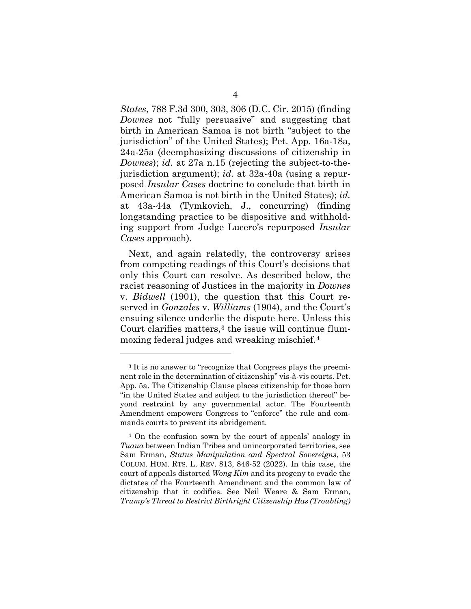*States*, 788 F.3d 300, 303, 306 (D.C. Cir. 2015) (finding *Downes* not "fully persuasive" and suggesting that birth in American Samoa is not birth "subject to the jurisdiction" of the United States); Pet. App. 16a-18a, 24a-25a (deemphasizing discussions of citizenship in *Downes*); *id.* at 27a n.15 (rejecting the subject-to-thejurisdiction argument); *id.* at 32a-40a (using a repurposed *Insular Cases* doctrine to conclude that birth in American Samoa is not birth in the United States); *id.* at 43a-44a (Tymkovich, J., concurring) (finding longstanding practice to be dispositive and withholding support from Judge Lucero's repurposed *Insular Cases* approach).

Next, and again relatedly, the controversy arises from competing readings of this Court's decisions that only this Court can resolve. As described below, the racist reasoning of Justices in the majority in *Downes* v. *Bidwell* (1901), the question that this Court reserved in *Gonzales* v. *Williams* (1904), and the Court's ensuing silence underlie the dispute here. Unless this Court clarifies matters,<sup>[3](#page-11-2)</sup> the issue will continue flummoxing federal judges and wreaking mischief.[4](#page-11-3)

<span id="page-11-2"></span><sup>&</sup>lt;sup>3</sup> It is no answer to "recognize that Congress plays the preeminent role in the determination of citizenship" vis-à-vis courts. Pet. App. 5a. The Citizenship Clause places citizenship for those born "in the United States and subject to the jurisdiction thereof" beyond restraint by any governmental actor. The Fourteenth Amendment empowers Congress to "enforce" the rule and commands courts to prevent its abridgement.

<span id="page-11-3"></span><span id="page-11-1"></span><span id="page-11-0"></span><sup>4</sup> On the confusion sown by the court of appeals' analogy in *Tuaua* between Indian Tribes and unincorporated territories, see Sam Erman, *Status Manipulation and Spectral Sovereigns*, 53 COLUM. HUM. RTS. L. REV. 813, 846-52 (2022). In this case, the court of appeals distorted *Wong Kim* and its progeny to evade the dictates of the Fourteenth Amendment and the common law of citizenship that it codifies. See Neil Weare & Sam Erman, *Trump's Threat to Restrict Birthright Citizenship Has (Troubling)*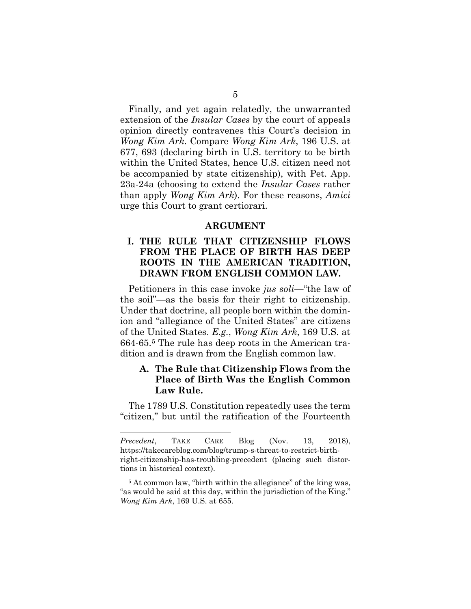Finally, and yet again relatedly, the unwarranted extension of the *Insular Cases* by the court of appeals opinion directly contravenes this Court's decision in *Wong Kim Ark*. Compare *Wong Kim Ark*, 196 U.S. at 677, 693 (declaring birth in U.S. territory to be birth within the United States, hence U.S. citizen need not be accompanied by state citizenship), with Pet. App. 23a-24a (choosing to extend the *Insular Cases* rather than apply *Wong Kim Ark*). For these reasons, *Amici* urge this Court to grant certiorari.

#### **ARGUMENT**

### <span id="page-12-1"></span><span id="page-12-0"></span>**I. THE RULE THAT CITIZENSHIP FLOWS FROM THE PLACE OF BIRTH HAS DEEP ROOTS IN THE AMERICAN TRADITION, DRAWN FROM ENGLISH COMMON LAW.**

Petitioners in this case invoke *jus soli—*"the law of the soil"—as the basis for their right to citizenship. Under that doctrine, all people born within the dominion and "allegiance of the United States" are citizens of the United States. *E.g.*, *Wong Kim Ark*, 169 U.S. at 664-65.[5](#page-12-3) The rule has deep roots in the American tradition and is drawn from the English common law.

### <span id="page-12-2"></span>**A. The Rule that Citizenship Flows from the Place of Birth Was the English Common Law Rule.**

The 1789 U.S. Constitution repeatedly uses the term "citizen," but until the ratification of the Fourteenth

*Precedent*, TAKE CARE Blog (Nov. 13, 2018), https://takecareblog.com/blog/trump-s-threat-to-restrict-birthright-citizenship-has-troubling-precedent (placing such distortions in historical context).

<span id="page-12-3"></span><sup>&</sup>lt;sup>5</sup> At common law, "birth within the allegiance" of the king was, "as would be said at this day, within the jurisdiction of the King." *Wong Kim Ark*, 169 U.S. at 655.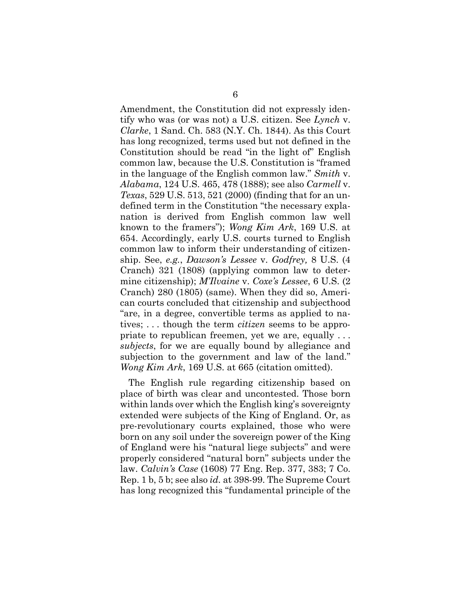<span id="page-13-5"></span><span id="page-13-3"></span><span id="page-13-1"></span>Amendment, the Constitution did not expressly identify who was (or was not) a U.S. citizen. See *Lynch* v. *Clarke*, 1 Sand. Ch. 583 (N.Y. Ch. 1844). As this Court has long recognized, terms used but not defined in the Constitution should be read "in the light of" English common law, because the U.S. Constitution is "framed in the language of the English common law." *Smith* v. *Alabama*, 124 U.S. 465, 478 (1888); see also *Carmell* v. *Texas*, 529 U.S. 513, 521 (2000) (finding that for an undefined term in the Constitution "the necessary explanation is derived from English common law well known to the framers"); *Wong Kim Ark*, 169 U.S. at 654. Accordingly, early U.S. courts turned to English common law to inform their understanding of citizenship. See, *e.g.*, *Dawson's Lessee* v. *Godfrey,* 8 U.S. (4 Cranch) 321 (1808) (applying common law to determine citizenship); *M'Ilvaine* v. *Coxe's Lessee*, 6 U.S. (2 Cranch) 280 (1805) (same). When they did so, American courts concluded that citizenship and subjecthood "are, in a degree, convertible terms as applied to natives; . . . though the term *citizen* seems to be appropriate to republican freemen, yet we are, equally . . . *subjects*, for we are equally bound by allegiance and subjection to the government and law of the land." *Wong Kim Ark*, 169 U.S. at 665 (citation omitted).

<span id="page-13-4"></span><span id="page-13-2"></span><span id="page-13-0"></span>The English rule regarding citizenship based on place of birth was clear and uncontested. Those born within lands over which the English king's sovereignty extended were subjects of the King of England. Or, as pre-revolutionary courts explained, those who were born on any soil under the sovereign power of the King of England were his "natural liege subjects" and were properly considered "natural born" subjects under the law. *Calvin's Case* (1608) 77 Eng. Rep. 377, 383; 7 Co. Rep. 1 b, 5 b; see also *id.* at 398-99. The Supreme Court has long recognized this "fundamental principle of the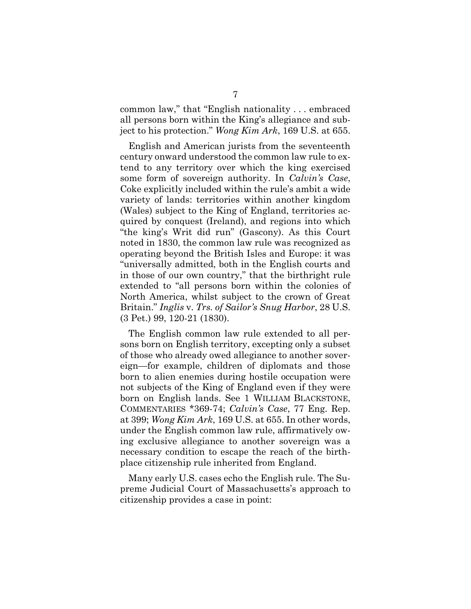common law," that "English nationality . . . embraced all persons born within the King's allegiance and subject to his protection." *Wong Kim Ark*, 169 U.S. at 655.

English and American jurists from the seventeenth century onward understood the common law rule to extend to any territory over which the king exercised some form of sovereign authority. In *Calvin's Case*, Coke explicitly included within the rule's ambit a wide variety of lands: territories within another kingdom (Wales) subject to the King of England, territories acquired by conquest (Ireland), and regions into which "the king's Writ did run" (Gascony). As this Court noted in 1830, the common law rule was recognized as operating beyond the British Isles and Europe: it was "universally admitted, both in the English courts and in those of our own country," that the birthright rule extended to "all persons born within the colonies of North America, whilst subject to the crown of Great Britain." *Inglis* v. *Trs. of Sailor's Snug Harbor*, 28 U.S. (3 Pet.) 99, 120-21 (1830).

<span id="page-14-2"></span><span id="page-14-1"></span>The English common law rule extended to all persons born on English territory, excepting only a subset of those who already owed allegiance to another sovereign—for example, children of diplomats and those born to alien enemies during hostile occupation were not subjects of the King of England even if they were born on English lands. See 1 WILLIAM BLACKSTONE, COMMENTARIES \*369-74; *Calvin's Case*, 77 Eng. Rep. at 399; *Wong Kim Ark*, 169 U.S. at 655. In other words, under the English common law rule, affirmatively owing exclusive allegiance to another sovereign was a necessary condition to escape the reach of the birthplace citizenship rule inherited from England.

<span id="page-14-0"></span>Many early U.S. cases echo the English rule. The Supreme Judicial Court of Massachusetts's approach to citizenship provides a case in point: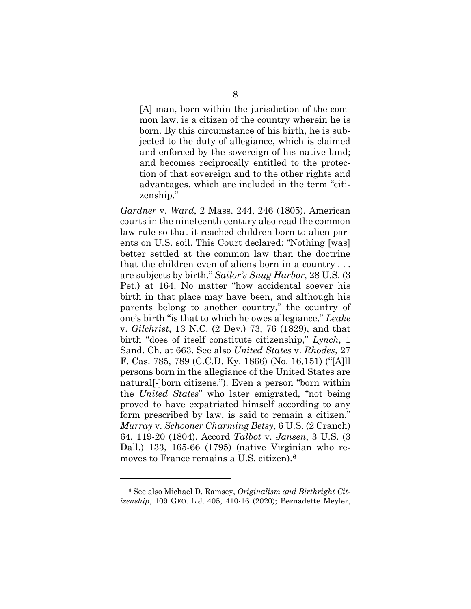[A] man, born within the jurisdiction of the common law, is a citizen of the country wherein he is born. By this circumstance of his birth, he is subjected to the duty of allegiance, which is claimed and enforced by the sovereign of his native land; and becomes reciprocally entitled to the protection of that sovereign and to the other rights and advantages, which are included in the term "citizenship."

<span id="page-15-5"></span><span id="page-15-3"></span><span id="page-15-2"></span><span id="page-15-1"></span>*Gardner* v. *Ward*, 2 Mass. 244, 246 (1805). American courts in the nineteenth century also read the common law rule so that it reached children born to alien parents on U.S. soil. This Court declared: "Nothing [was] better settled at the common law than the doctrine that the children even of aliens born in a country . . . are subjects by birth." *Sailor's Snug Harbor*, 28 U.S. (3 Pet.) at 164. No matter "how accidental soever his birth in that place may have been, and although his parents belong to another country," the country of one's birth "is that to which he owes allegiance," *Leake* v. *Gilchrist*, 13 N.C. (2 Dev.) 73, 76 (1829), and that birth "does of itself constitute citizenship," *Lynch*, 1 Sand. Ch. at 663. See also *United States* v. *Rhodes*, 27 F. Cas. 785, 789 (C.C.D. Ky. 1866) (No. 16,151) ("[A]ll persons born in the allegiance of the United States are natural[-]born citizens."). Even a person "born within the *United States*" who later emigrated, "not being proved to have expatriated himself according to any form prescribed by law, is said to remain a citizen." *Murray* v. *Schooner Charming Betsy*, 6 U.S. (2 Cranch) 64, 119-20 (1804). Accord *Talbot* v. *Jansen*, 3 U.S. (3 Dall.) 133, 165-66 (1795) (native Virginian who removes to France remains a U.S. citizen).[6](#page-15-8)

<span id="page-15-8"></span><span id="page-15-7"></span><span id="page-15-6"></span><span id="page-15-4"></span><span id="page-15-0"></span><sup>6</sup> See also Michael D. Ramsey, *Originalism and Birthright Citizenship*, 109 GEO. L.J. 405, 410-16 (2020); Bernadette Meyler,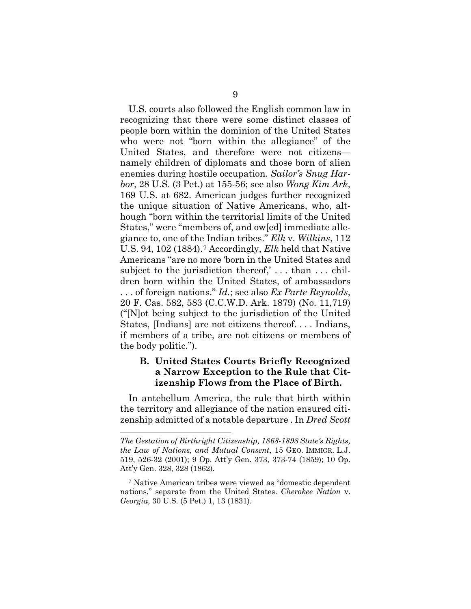U.S. courts also followed the English common law in recognizing that there were some distinct classes of people born within the dominion of the United States who were not "born within the allegiance" of the United States, and therefore were not citizens namely children of diplomats and those born of alien enemies during hostile occupation. *Sailor's Snug Harbor*, 28 U.S. (3 Pet.) at 155-56; see also *Wong Kim Ark*, 169 U.S. at 682. American judges further recognized the unique situation of Native Americans, who, although "born within the territorial limits of the United States," were "members of, and ow[ed] immediate allegiance to, one of the Indian tribes." *Elk* v. *Wilkins*, 112 U.S. 94, 102 (1884).[7](#page-16-6) Accordingly, *Elk* held that Native Americans "are no more 'born in the United States and subject to the jurisdiction thereof,'... than ... children born within the United States, of ambassadors . . . of foreign nations." *Id.*; see also *Ex Parte Reynolds*, 20 F. Cas. 582, 583 (C.C.W.D. Ark. 1879) (No. 11,719) ("[N]ot being subject to the jurisdiction of the United States, [Indians] are not citizens thereof. . . . Indians, if members of a tribe, are not citizens or members of the body politic.").

## <span id="page-16-4"></span><span id="page-16-3"></span><span id="page-16-2"></span><span id="page-16-0"></span>**B. United States Courts Briefly Recognized a Narrow Exception to the Rule that Citizenship Flows from the Place of Birth.**

In antebellum America, the rule that birth within the territory and allegiance of the nation ensured citizenship admitted of a notable departure . In *Dred Scott*

<span id="page-16-5"></span>*The Gestation of Birthright Citizenship, 1868-1898 State's Rights, the Law of Nations, and Mutual Consent*, 15 GEO. IMMIGR. L.J. 519, 526-32 (2001); 9 Op. Att'y Gen. 373, 373-74 (1859); 10 Op. Att'y Gen. 328, 328 (1862).

<span id="page-16-6"></span><span id="page-16-1"></span><sup>7</sup> Native American tribes were viewed as "domestic dependent nations," separate from the United States. *Cherokee Nation* v. *Georgia*, 30 U.S. (5 Pet.) 1, 13 (1831).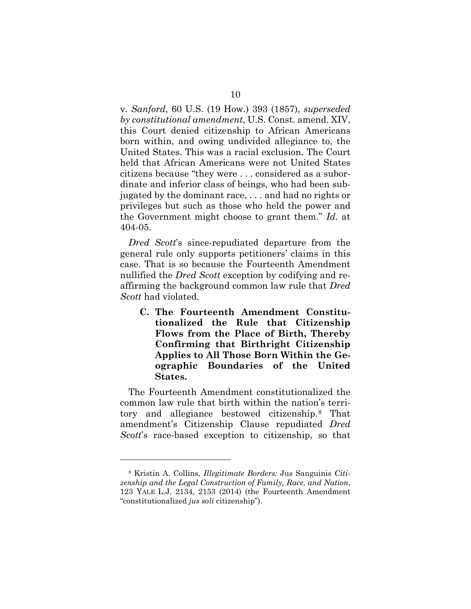v. *Sanford*, 60 U.S. (19 How.) 393 (1857), *superseded by constitutional amendment*, U.S. Const. amend. XIV, this Court denied citizenship to African Americans born within, and owing undivided allegiance to, the United States. This was a racial exclusion. The Court held that African Americans were not United States citizens because "they were . . . considered as a subordinate and inferior class of beings, who had been subjugated by the dominant race, . . . and had no rights or privileges but such as those who held the power and the Government might choose to grant them." *Id.* at 404-05.

*Dred Scott*'s since-repudiated departure from the general rule only supports petitioners' claims in this case. That is so because the Fourteenth Amendment nullified the *Dred Scott* exception by codifying and reaffirming the background common law rule that *Dred Scott* had violated.

<span id="page-17-0"></span>**C. The Fourteenth Amendment Constitutionalized the Rule that Citizenship Flows from the Place of Birth, Thereby Confirming that Birthright Citizenship Applies to All Those Born Within the Geographic Boundaries of the United States.**

The Fourteenth Amendment constitutionalized the common law rule that birth within the nation's territory and allegiance bestowed citizenship.[8](#page-17-2) That amendment's Citizenship Clause repudiated *Dred Scott*'s race-based exception to citizenship, so that

<span id="page-17-2"></span><span id="page-17-1"></span><sup>8</sup> Kristin A. Collins, *Illegitimate Borders:* Jus Sanguinis *Citizenship and the Legal Construction of Family, Race, and Nation*, 123 YALE L.J. 2134, 2153 (2014) (the Fourteenth Amendment "constitutionalized *jus soli* citizenship").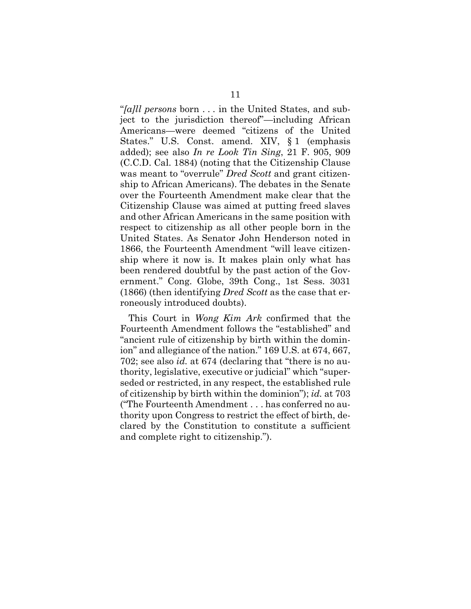<span id="page-18-1"></span><span id="page-18-0"></span>"*[a]ll persons* born . . . in the United States, and subject to the jurisdiction thereof"—including African Americans—were deemed "citizens of the United States." U.S. Const. amend. XIV, § 1 (emphasis added); see also *In re Look Tin Sing*, 21 F. 905, 909 (C.C.D. Cal. 1884) (noting that the Citizenship Clause was meant to "overrule" *Dred Scott* and grant citizenship to African Americans). The debates in the Senate over the Fourteenth Amendment make clear that the Citizenship Clause was aimed at putting freed slaves and other African Americans in the same position with respect to citizenship as all other people born in the United States. As Senator John Henderson noted in 1866, the Fourteenth Amendment "will leave citizenship where it now is. It makes plain only what has been rendered doubtful by the past action of the Government." Cong. Globe, 39th Cong., 1st Sess. 3031 (1866) (then identifying *Dred Scott* as the case that erroneously introduced doubts).

<span id="page-18-2"></span>This Court in *Wong Kim Ark* confirmed that the Fourteenth Amendment follows the "established" and "ancient rule of citizenship by birth within the dominion" and allegiance of the nation." 169 U.S. at 674, 667, 702; see also *id.* at 674 (declaring that "there is no authority, legislative, executive or judicial" which "superseded or restricted, in any respect, the established rule of citizenship by birth within the dominion"); *id.* at 703 ("The Fourteenth Amendment . . . has conferred no authority upon Congress to restrict the effect of birth, declared by the Constitution to constitute a sufficient and complete right to citizenship.").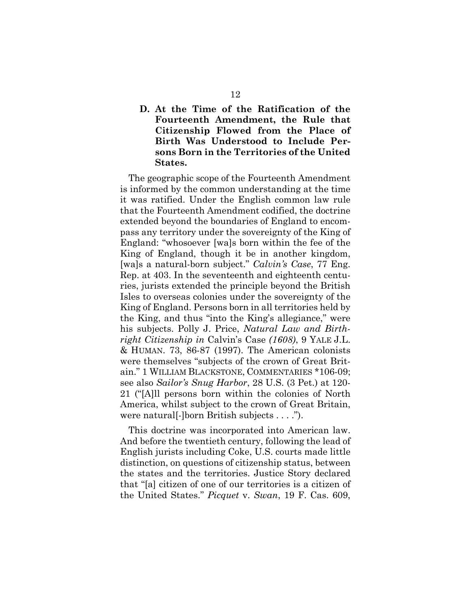### <span id="page-19-0"></span>**D. At the Time of the Ratification of the Fourteenth Amendment, the Rule that Citizenship Flowed from the Place of Birth Was Understood to Include Persons Born in the Territories of the United States.**

<span id="page-19-1"></span>The geographic scope of the Fourteenth Amendment is informed by the common understanding at the time it was ratified. Under the English common law rule that the Fourteenth Amendment codified, the doctrine extended beyond the boundaries of England to encompass any territory under the sovereignty of the King of England: "whosoever [wa]s born within the fee of the King of England, though it be in another kingdom, [wa]s a natural-born subject." *Calvin's Case*, 77 Eng. Rep. at 403. In the seventeenth and eighteenth centuries, jurists extended the principle beyond the British Isles to overseas colonies under the sovereignty of the King of England. Persons born in all territories held by the King, and thus "into the King's allegiance," were his subjects. Polly J. Price, *Natural Law and Birthright Citizenship in* Calvin's Case *(1608)*, 9 YALE J.L. & HUMAN. 73, 86-87 (1997). The American colonists were themselves "subjects of the crown of Great Britain." 1 WILLIAM BLACKSTONE, COMMENTARIES \*106-09; see also *Sailor's Snug Harbor*, 28 U.S. (3 Pet.) at 120- 21 ("[A]ll persons born within the colonies of North America, whilst subject to the crown of Great Britain, were natural[-]born British subjects . . . .").

<span id="page-19-4"></span><span id="page-19-3"></span><span id="page-19-2"></span>This doctrine was incorporated into American law. And before the twentieth century, following the lead of English jurists including Coke, U.S. courts made little distinction, on questions of citizenship status, between the states and the territories. Justice Story declared that "[a] citizen of one of our territories is a citizen of the United States." *Picquet* v. *Swan*, 19 F. Cas. 609,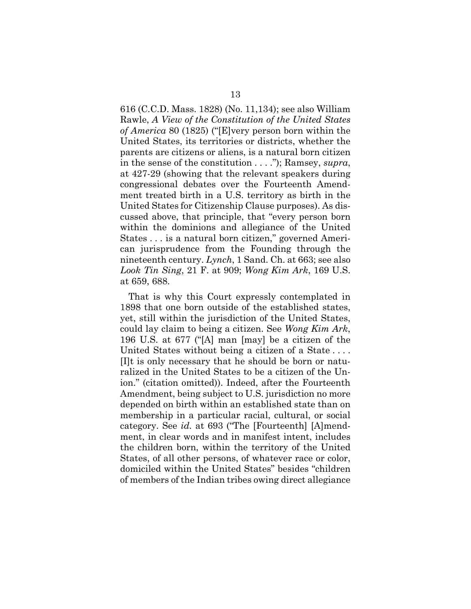<span id="page-20-2"></span>616 (C.C.D. Mass. 1828) (No. 11,134); see also William Rawle, *A View of the Constitution of the United States of America* 80 (1825) ("[E]very person born within the United States, its territories or districts, whether the parents are citizens or aliens, is a natural born citizen in the sense of the constitution . . . ."); Ramsey, *supra*, at 427-29 (showing that the relevant speakers during congressional debates over the Fourteenth Amendment treated birth in a U.S. territory as birth in the United States for Citizenship Clause purposes). As discussed above, that principle, that "every person born within the dominions and allegiance of the United States . . . is a natural born citizen," governed American jurisprudence from the Founding through the nineteenth century. *Lynch*, 1 Sand. Ch. at 663; see also *Look Tin Sing*, 21 F. at 909; *Wong Kim Ark*, 169 U.S. at 659, 688.

<span id="page-20-1"></span><span id="page-20-0"></span>That is why this Court expressly contemplated in 1898 that one born outside of the established states, yet, still within the jurisdiction of the United States, could lay claim to being a citizen. See *Wong Kim Ark*, 196 U.S. at 677 ("[A] man [may] be a citizen of the United States without being a citizen of a State . . . . [I]t is only necessary that he should be born or naturalized in the United States to be a citizen of the Union." (citation omitted)). Indeed, after the Fourteenth Amendment, being subject to U.S. jurisdiction no more depended on birth within an established state than on membership in a particular racial, cultural, or social category. See *id.* at 693 ("The [Fourteenth] [A]mendment, in clear words and in manifest intent, includes the children born, within the territory of the United States, of all other persons, of whatever race or color, domiciled within the United States" besides "children of members of the Indian tribes owing direct allegiance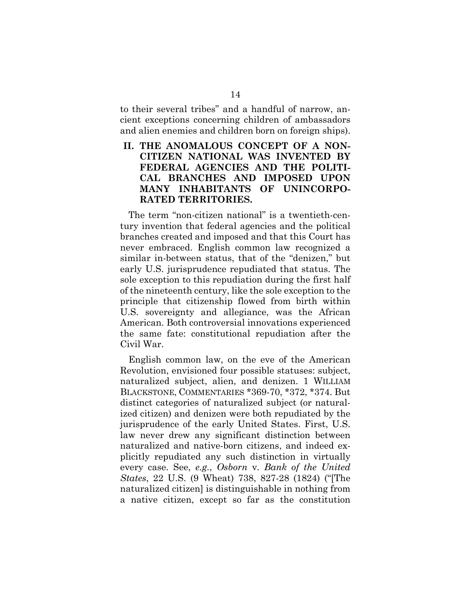to their several tribes" and a handful of narrow, ancient exceptions concerning children of ambassadors and alien enemies and children born on foreign ships).

### <span id="page-21-0"></span>**II. THE ANOMALOUS CONCEPT OF A NON-CITIZEN NATIONAL WAS INVENTED BY FEDERAL AGENCIES AND THE POLITI-CAL BRANCHES AND IMPOSED UPON MANY INHABITANTS OF UNINCORPO-RATED TERRITORIES.**

The term "non-citizen national" is a twentieth-century invention that federal agencies and the political branches created and imposed and that this Court has never embraced. English common law recognized a similar in-between status, that of the "denizen," but early U.S. jurisprudence repudiated that status. The sole exception to this repudiation during the first half of the nineteenth century, like the sole exception to the principle that citizenship flowed from birth within U.S. sovereignty and allegiance, was the African American. Both controversial innovations experienced the same fate: constitutional repudiation after the Civil War.

<span id="page-21-2"></span><span id="page-21-1"></span>English common law, on the eve of the American Revolution, envisioned four possible statuses: subject, naturalized subject, alien, and denizen. 1 WILLIAM BLACKSTONE, COMMENTARIES \*369-70, \*372, \*374. But distinct categories of naturalized subject (or naturalized citizen) and denizen were both repudiated by the jurisprudence of the early United States. First, U.S. law never drew any significant distinction between naturalized and native-born citizens, and indeed explicitly repudiated any such distinction in virtually every case. See, *e.g.*, *Osborn* v. *Bank of the United States*, 22 U.S. (9 Wheat) 738, 827-28 (1824) ("[The naturalized citizen] is distinguishable in nothing from a native citizen, except so far as the constitution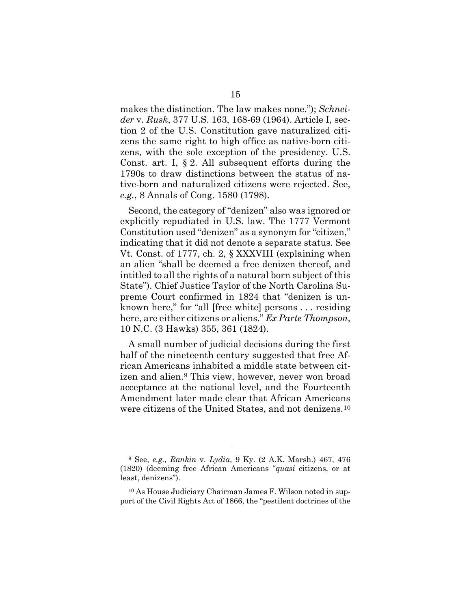<span id="page-22-3"></span><span id="page-22-1"></span>makes the distinction. The law makes none."); *Schneider* v. *Rusk*, 377 U.S. 163, 168-69 (1964). Article I, section 2 of the U.S. Constitution gave naturalized citizens the same right to high office as native-born citizens, with the sole exception of the presidency. U.S. Const. art. I, § 2. All subsequent efforts during the 1790s to draw distinctions between the status of native-born and naturalized citizens were rejected. See, *e.g.*, 8 Annals of Cong. 1580 (1798).

<span id="page-22-5"></span><span id="page-22-4"></span>Second, the category of "denizen" also was ignored or explicitly repudiated in U.S. law. The 1777 Vermont Constitution used "denizen" as a synonym for "citizen," indicating that it did not denote a separate status. See Vt. Const. of 1777, ch. 2, § XXXVIII (explaining when an alien "shall be deemed a free denizen thereof, and intitled to all the rights of a natural born subject of this State"). Chief Justice Taylor of the North Carolina Supreme Court confirmed in 1824 that "denizen is unknown here," for "all [free white] persons . . . residing here, are either citizens or aliens." *Ex Parte Thompson*, 10 N.C. (3 Hawks) 355, 361 (1824).

<span id="page-22-2"></span>A small number of judicial decisions during the first half of the nineteenth century suggested that free African Americans inhabited a middle state between citizen and alien.[9](#page-22-6) This view, however, never won broad acceptance at the national level, and the Fourteenth Amendment later made clear that African Americans were citizens of the United States, and not denizens.[10](#page-22-7)

<span id="page-22-6"></span><span id="page-22-0"></span><sup>9</sup> See, *e.g.*, *Rankin* v. *Lydia*, 9 Ky. (2 A.K. Marsh.) 467, 476 (1820) (deeming free African Americans "*quasi* citizens, or at least, denizens").

<span id="page-22-7"></span><sup>10</sup> As House Judiciary Chairman James F. Wilson noted in support of the Civil Rights Act of 1866, the "pestilent doctrines of the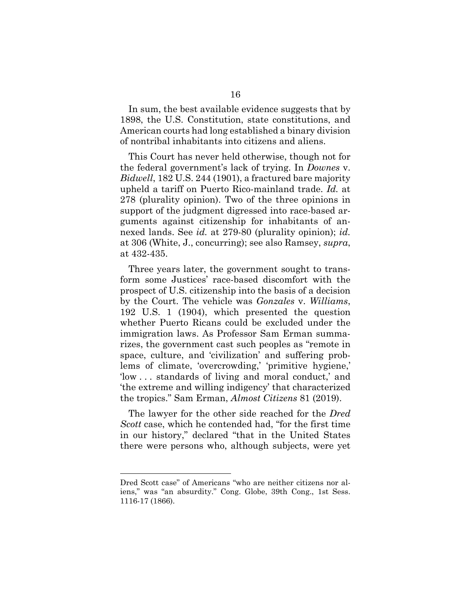In sum, the best available evidence suggests that by 1898, the U.S. Constitution, state constitutions, and American courts had long established a binary division of nontribal inhabitants into citizens and aliens.

This Court has never held otherwise, though not for the federal government's lack of trying. In *Downes* v. *Bidwell*, 182 U.S. 244 (1901), a fractured bare majority upheld a tariff on Puerto Rico-mainland trade. *Id.* at 278 (plurality opinion). Two of the three opinions in support of the judgment digressed into race-based arguments against citizenship for inhabitants of annexed lands. See *id.* at 279-80 (plurality opinion); *id.*  at 306 (White, J., concurring); see also Ramsey, *supra*, at 432-435.

<span id="page-23-0"></span>Three years later, the government sought to transform some Justices' race-based discomfort with the prospect of U.S. citizenship into the basis of a decision by the Court. The vehicle was *Gonzales* v. *Williams*, 192 U.S. 1 (1904), which presented the question whether Puerto Ricans could be excluded under the immigration laws. As Professor Sam Erman summarizes, the government cast such peoples as "remote in space, culture, and 'civilization' and suffering problems of climate, 'overcrowding,' 'primitive hygiene,' 'low . . . standards of living and moral conduct,' and 'the extreme and willing indigency' that characterized the tropics." Sam Erman, *Almost Citizens* 81 (2019).

<span id="page-23-2"></span>The lawyer for the other side reached for the *Dred Scott* case, which he contended had, "for the first time in our history," declared "that in the United States there were persons who, although subjects, were yet

<span id="page-23-1"></span>Dred Scott case" of Americans "who are neither citizens nor aliens," was "an absurdity." Cong. Globe, 39th Cong., 1st Sess. 1116-17 (1866).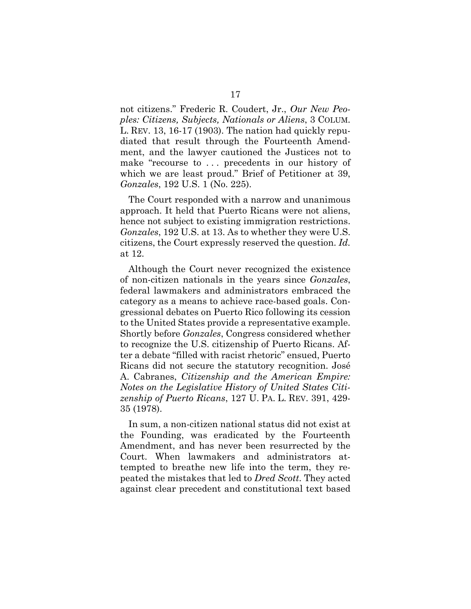<span id="page-24-2"></span>not citizens." Frederic R. Coudert, Jr., *Our New Peoples: Citizens, Subjects, Nationals or Aliens*, 3 COLUM. L. REV. 13, 16-17 (1903). The nation had quickly repudiated that result through the Fourteenth Amendment, and the lawyer cautioned the Justices not to make "recourse to . . . precedents in our history of which we are least proud." Brief of Petitioner at 39, *Gonzales*, 192 U.S. 1 (No. 225).

<span id="page-24-0"></span>The Court responded with a narrow and unanimous approach. It held that Puerto Ricans were not aliens, hence not subject to existing immigration restrictions. *Gonzales*, 192 U.S. at 13. As to whether they were U.S. citizens, the Court expressly reserved the question. *Id.* at 12.

Although the Court never recognized the existence of non-citizen nationals in the years since *Gonzales*, federal lawmakers and administrators embraced the category as a means to achieve race-based goals. Congressional debates on Puerto Rico following its cession to the United States provide a representative example. Shortly before *Gonzales*, Congress considered whether to recognize the U.S. citizenship of Puerto Ricans. After a debate "filled with racist rhetoric" ensued, Puerto Ricans did not secure the statutory recognition. José A. Cabranes, *Citizenship and the American Empire: Notes on the Legislative History of United States Citizenship of Puerto Ricans*, 127 U. PA. L. REV. 391, 429- 35 (1978).

<span id="page-24-1"></span>In sum, a non-citizen national status did not exist at the Founding, was eradicated by the Fourteenth Amendment, and has never been resurrected by the Court. When lawmakers and administrators attempted to breathe new life into the term, they repeated the mistakes that led to *Dred Scott*. They acted against clear precedent and constitutional text based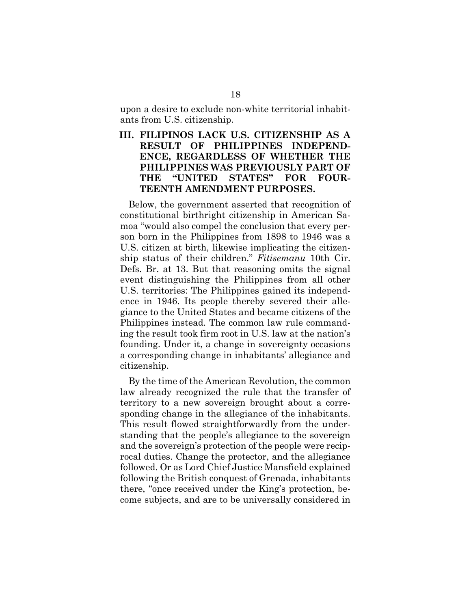upon a desire to exclude non-white territorial inhabitants from U.S. citizenship.

## <span id="page-25-0"></span>**III. FILIPINOS LACK U.S. CITIZENSHIP AS A RESULT OF PHILIPPINES INDEPEND-ENCE, REGARDLESS OF WHETHER THE PHILIPPINES WAS PREVIOUSLY PART OF THE "UNITED STATES" FOR FOUR-TEENTH AMENDMENT PURPOSES.**

Below, the government asserted that recognition of constitutional birthright citizenship in American Samoa "would also compel the conclusion that every person born in the Philippines from 1898 to 1946 was a U.S. citizen at birth, likewise implicating the citizenship status of their children." *Fitisemanu* 10th Cir. Defs. Br. at 13. But that reasoning omits the signal event distinguishing the Philippines from all other U.S. territories: The Philippines gained its independence in 1946. Its people thereby severed their allegiance to the United States and became citizens of the Philippines instead. The common law rule commanding the result took firm root in U.S. law at the nation's founding. Under it, a change in sovereignty occasions a corresponding change in inhabitants' allegiance and citizenship.

By the time of the American Revolution, the common law already recognized the rule that the transfer of territory to a new sovereign brought about a corresponding change in the allegiance of the inhabitants. This result flowed straightforwardly from the understanding that the people's allegiance to the sovereign and the sovereign's protection of the people were reciprocal duties. Change the protector, and the allegiance followed. Or as Lord Chief Justice Mansfield explained following the British conquest of Grenada, inhabitants there, "once received under the King's protection, become subjects, and are to be universally considered in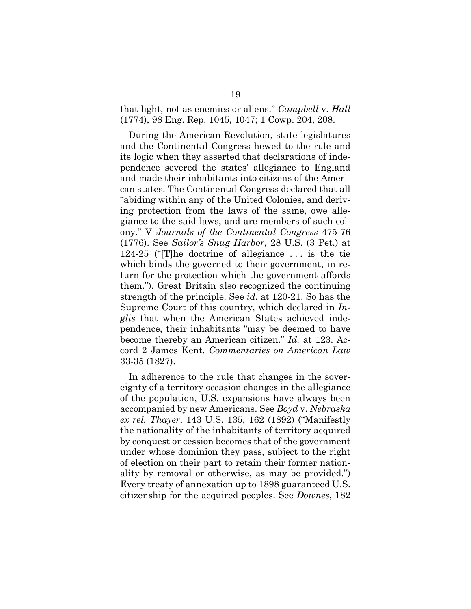<span id="page-26-1"></span>that light, not as enemies or aliens." *Campbell* v. *Hall* (1774), 98 Eng. Rep. 1045, 1047; 1 Cowp. 204, 208.

<span id="page-26-2"></span>During the American Revolution, state legislatures and the Continental Congress hewed to the rule and its logic when they asserted that declarations of independence severed the states' allegiance to England and made their inhabitants into citizens of the American states. The Continental Congress declared that all "abiding within any of the United Colonies, and deriving protection from the laws of the same, owe allegiance to the said laws, and are members of such colony." V *Journals of the Continental Congress* 475-76 (1776). See *Sailor's Snug Harbor*, 28 U.S. (3 Pet.) at 124-25 ("[T]he doctrine of allegiance . . . is the tie which binds the governed to their government, in return for the protection which the government affords them."). Great Britain also recognized the continuing strength of the principle. See *id.* at 120-21. So has the Supreme Court of this country, which declared in *Inglis* that when the American States achieved independence, their inhabitants "may be deemed to have become thereby an American citizen." *Id.* at 123. Accord 2 James Kent, *Commentaries on American Law* 33-35 (1827).

<span id="page-26-3"></span><span id="page-26-0"></span>In adherence to the rule that changes in the sovereignty of a territory occasion changes in the allegiance of the population, U.S. expansions have always been accompanied by new Americans. See *Boyd* v. *Nebraska ex rel. Thayer*, 143 U.S. 135, 162 (1892) ("Manifestly the nationality of the inhabitants of territory acquired by conquest or cession becomes that of the government under whose dominion they pass, subject to the right of election on their part to retain their former nationality by removal or otherwise, as may be provided.") Every treaty of annexation up to 1898 guaranteed U.S. citizenship for the acquired peoples. See *Downes*, 182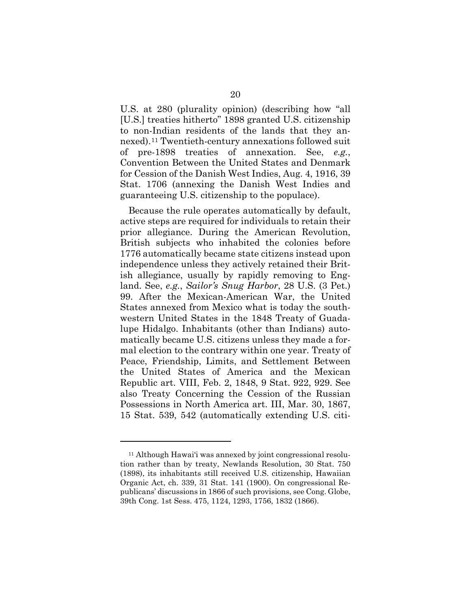U.S. at 280 (plurality opinion) (describing how "all [U.S.] treaties hitherto" 1898 granted U.S. citizenship to non-Indian residents of the lands that they annexed).[11](#page-27-3) Twentieth-century annexations followed suit of pre-1898 treaties of annexation. See, *e.g.*, Convention Between the United States and Denmark for Cession of the Danish West Indies, Aug. 4, 1916, 39 Stat. 1706 (annexing the Danish West Indies and guaranteeing U.S. citizenship to the populace).

Because the rule operates automatically by default, active steps are required for individuals to retain their prior allegiance. During the American Revolution, British subjects who inhabited the colonies before 1776 automatically became state citizens instead upon independence unless they actively retained their British allegiance, usually by rapidly removing to England. See, *e.g.*, *Sailor's Snug Harbor*, 28 U.S. (3 Pet.) 99. After the Mexican-American War, the United States annexed from Mexico what is today the southwestern United States in the 1848 Treaty of Guadalupe Hidalgo. Inhabitants (other than Indians) automatically became U.S. citizens unless they made a formal election to the contrary within one year. Treaty of Peace, Friendship, Limits, and Settlement Between the United States of America and the Mexican Republic art. VIII, Feb. 2, 1848, 9 Stat. 922, 929. See also Treaty Concerning the Cession of the Russian Possessions in North America art. III, Mar. 30, 1867, 15 Stat. 539, 542 (automatically extending U.S. citi-

<span id="page-27-3"></span><span id="page-27-2"></span><span id="page-27-1"></span><span id="page-27-0"></span><sup>&</sup>lt;sup>11</sup> Although Hawai'i was annexed by joint congressional resolution rather than by treaty, Newlands Resolution, 30 Stat. 750 (1898), its inhabitants still received U.S. citizenship, Hawaiian Organic Act, ch. 339, 31 Stat. 141 (1900). On congressional Republicans' discussions in 1866 of such provisions, see Cong. Globe, 39th Cong. 1st Sess. 475, 1124, 1293, 1756, 1832 (1866).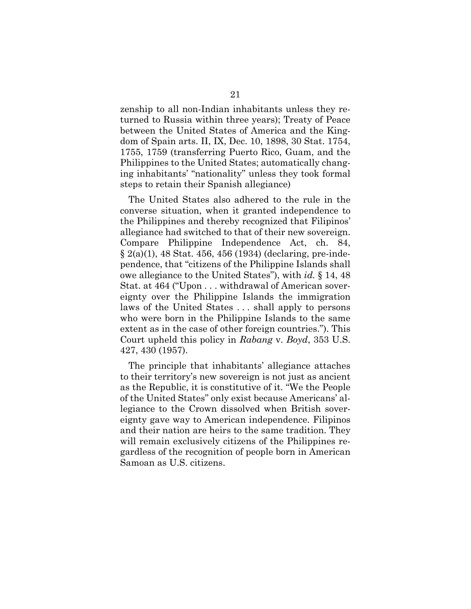zenship to all non-Indian inhabitants unless they returned to Russia within three years); Treaty of Peace between the United States of America and the Kingdom of Spain arts. II, IX, Dec. 10, 1898, 30 Stat. 1754, 1755, 1759 (transferring Puerto Rico, Guam, and the Philippines to the United States; automatically changing inhabitants' "nationality" unless they took formal steps to retain their Spanish allegiance)

<span id="page-28-1"></span>The United States also adhered to the rule in the converse situation, when it granted independence to the Philippines and thereby recognized that Filipinos' allegiance had switched to that of their new sovereign. Compare Philippine Independence Act, ch. 84, § 2(a)(1), 48 Stat. 456, 456 (1934) (declaring, pre-independence, that "citizens of the Philippine Islands shall owe allegiance to the United States"), with *id.* § 14, 48 Stat. at 464 ("Upon . . . withdrawal of American sovereignty over the Philippine Islands the immigration laws of the United States . . . shall apply to persons who were born in the Philippine Islands to the same extent as in the case of other foreign countries."). This Court upheld this policy in *Rabang* v. *Boyd*, 353 U.S. 427, 430 (1957).

<span id="page-28-0"></span>The principle that inhabitants' allegiance attaches to their territory's new sovereign is not just as ancient as the Republic, it is constitutive of it. "We the People of the United States" only exist because Americans' allegiance to the Crown dissolved when British sovereignty gave way to American independence. Filipinos and their nation are heirs to the same tradition. They will remain exclusively citizens of the Philippines regardless of the recognition of people born in American Samoan as U.S. citizens.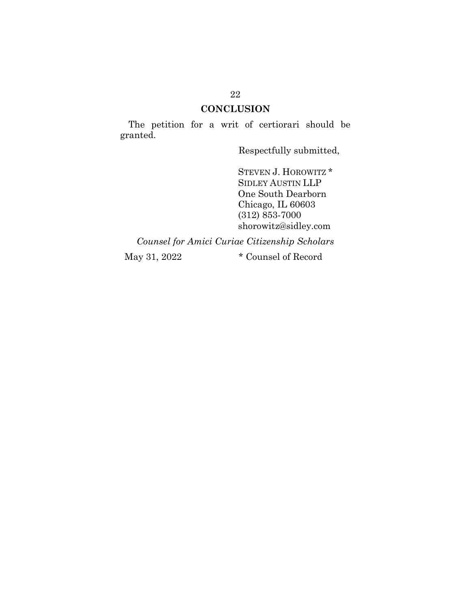## **CONCLUSION**

<span id="page-29-0"></span>The petition for a writ of certiorari should be granted.

Respectfully submitted,

STEVEN J. HOROWITZ \* SIDLEY AUSTIN LLP One South Dearborn Chicago, IL 60603 (312) 853-7000 shorowitz@sidley.com

*Counsel for Amici Curiae Citizenship Scholars*

May 31, 2022 **\*** Counsel of Record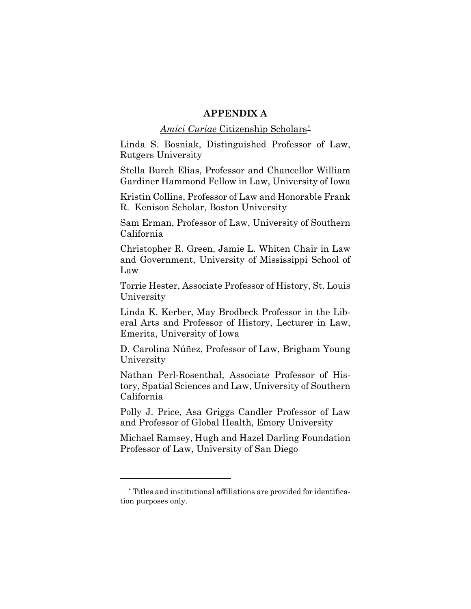#### **APPENDIX A**

#### *Amici Curiae* Citizenship Scholars[\\*](#page-30-0)

Linda S. Bosniak, Distinguished Professor of Law, Rutgers University

Stella Burch Elias, Professor and Chancellor William Gardiner Hammond Fellow in Law, University of Iowa

Kristin Collins, Professor of Law and Honorable Frank R. Kenison Scholar, Boston University

Sam Erman, Professor of Law, University of Southern California

Christopher R. Green, Jamie L. Whiten Chair in Law and Government, University of Mississippi School of Law

Torrie Hester, Associate Professor of History, St. Louis University

Linda K. Kerber, May Brodbeck Professor in the Liberal Arts and Professor of History, Lecturer in Law, Emerita, University of Iowa

D. Carolina Núñez, Professor of Law, Brigham Young University

Nathan Perl-Rosenthal, Associate Professor of History, Spatial Sciences and Law, University of Southern California

Polly J. Price, Asa Griggs Candler Professor of Law and Professor of Global Health, Emory University

Michael Ramsey, Hugh and Hazel Darling Foundation Professor of Law, University of San Diego

<span id="page-30-0"></span><sup>\*</sup> Titles and institutional affiliations are provided for identification purposes only.